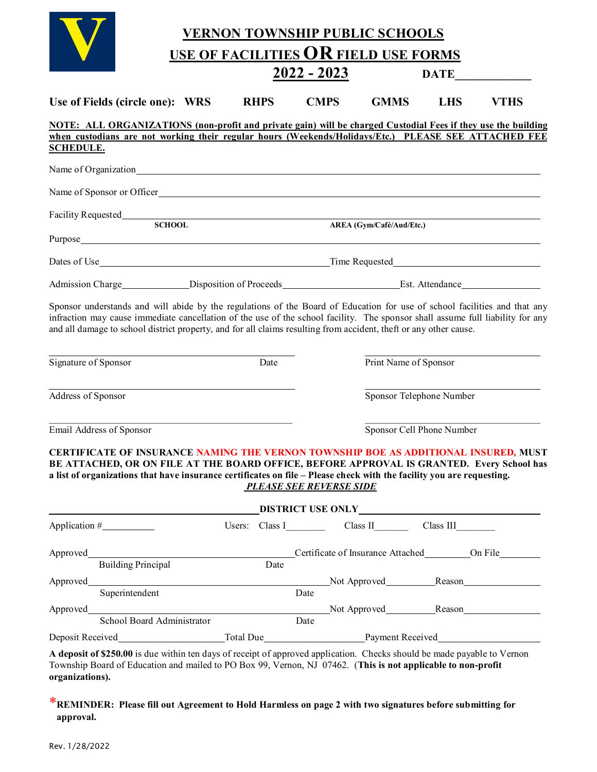|                                            |                                                                                                                                                                                                                                                                                                           |  |  |             |      | <b>VERNON TOWNSHIP PUBLIC SCHOOLS</b> |                          |                                                   |                                                      |  |
|--------------------------------------------|-----------------------------------------------------------------------------------------------------------------------------------------------------------------------------------------------------------------------------------------------------------------------------------------------------------|--|--|-------------|------|---------------------------------------|--------------------------|---------------------------------------------------|------------------------------------------------------|--|
|                                            |                                                                                                                                                                                                                                                                                                           |  |  |             |      |                                       |                          | USE OF FACILITIES OR FIELD USE FORMS              |                                                      |  |
|                                            | $2022 - 2023$                                                                                                                                                                                                                                                                                             |  |  | <b>DATE</b> |      |                                       |                          |                                                   |                                                      |  |
|                                            | Use of Fields (circle one): WRS                                                                                                                                                                                                                                                                           |  |  | <b>RHPS</b> |      | <b>CMPS</b>                           | <b>GMMS</b>              | <b>LHS</b>                                        | <b>VTHS</b>                                          |  |
|                                            | NOTE: ALL ORGANIZATIONS (non-profit and private gain) will be charged Custodial Fees if they use the building                                                                                                                                                                                             |  |  |             |      |                                       |                          |                                                   |                                                      |  |
| <b>SCHEDULE.</b>                           | when custodians are not working their regular hours (Weekends/Holidays/Etc.) PLEASE SEE ATTACHED FEE                                                                                                                                                                                                      |  |  |             |      |                                       |                          |                                                   |                                                      |  |
|                                            |                                                                                                                                                                                                                                                                                                           |  |  |             |      |                                       |                          |                                                   |                                                      |  |
|                                            |                                                                                                                                                                                                                                                                                                           |  |  |             |      |                                       |                          |                                                   |                                                      |  |
|                                            | Name of Sponsor or Officer                                                                                                                                                                                                                                                                                |  |  |             |      |                                       |                          |                                                   |                                                      |  |
|                                            | Facility Requested<br>SCHOOL AREA                                                                                                                                                                                                                                                                         |  |  |             |      |                                       |                          |                                                   |                                                      |  |
|                                            |                                                                                                                                                                                                                                                                                                           |  |  |             |      |                                       | AREA (Gym/Café/Aud/Etc.) |                                                   |                                                      |  |
|                                            |                                                                                                                                                                                                                                                                                                           |  |  |             |      |                                       |                          |                                                   |                                                      |  |
|                                            |                                                                                                                                                                                                                                                                                                           |  |  |             |      |                                       |                          |                                                   |                                                      |  |
|                                            |                                                                                                                                                                                                                                                                                                           |  |  |             |      |                                       |                          |                                                   |                                                      |  |
| Signature of Sponsor<br>Address of Sponsor |                                                                                                                                                                                                                                                                                                           |  |  | Date        |      |                                       |                          | Print Name of Sponsor<br>Sponsor Telephone Number |                                                      |  |
| Email Address of Sponsor                   |                                                                                                                                                                                                                                                                                                           |  |  |             |      | Sponsor Cell Phone Number             |                          |                                                   |                                                      |  |
|                                            | CERTIFICATE OF INSURANCE NAMING THE VERNON TOWNSHIP BOE AS ADDITIONAL INSURED, MUST<br>BE ATTACHED, OR ON FILE AT THE BOARD OFFICE, BEFORE APPROVAL IS GRANTED. Every School has<br>a list of organizations that have insurance certificates on file - Please check with the facility you are requesting. |  |  |             |      | <b>PLEASE SEE REVERSE SIDE</b>        |                          |                                                   |                                                      |  |
|                                            |                                                                                                                                                                                                                                                                                                           |  |  |             |      |                                       |                          |                                                   |                                                      |  |
|                                            |                                                                                                                                                                                                                                                                                                           |  |  |             |      |                                       |                          | Users: Class I Class II Class III Class III       |                                                      |  |
|                                            |                                                                                                                                                                                                                                                                                                           |  |  |             |      |                                       |                          |                                                   | Certificate of Insurance Attached __________ On File |  |
|                                            | <b>Building Principal</b>                                                                                                                                                                                                                                                                                 |  |  | Date        |      |                                       |                          |                                                   |                                                      |  |
|                                            |                                                                                                                                                                                                                                                                                                           |  |  |             |      |                                       |                          |                                                   |                                                      |  |
|                                            | Superintendent                                                                                                                                                                                                                                                                                            |  |  |             | Date |                                       |                          |                                                   |                                                      |  |
|                                            |                                                                                                                                                                                                                                                                                                           |  |  |             |      |                                       |                          |                                                   |                                                      |  |
|                                            | School Board Administrator                                                                                                                                                                                                                                                                                |  |  |             | Date |                                       |                          |                                                   |                                                      |  |
|                                            |                                                                                                                                                                                                                                                                                                           |  |  |             |      |                                       |                          |                                                   |                                                      |  |
| organizations).                            | A deposit of \$250.00 is due within ten days of receipt of approved application. Checks should be made payable to Vernon<br>Township Board of Education and mailed to PO Box 99, Vernon, NJ 07462. (This is not applicable to non-profit                                                                  |  |  |             |      |                                       |                          |                                                   |                                                      |  |

\***REMINDER: Please fill out Agreement to Hold Harmless on page 2 with two signatures before submitting for approval.**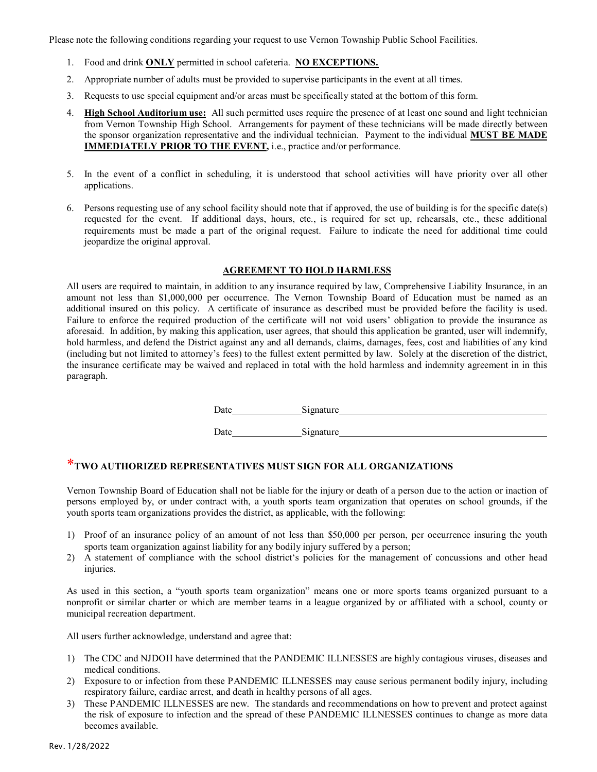Please note the following conditions regarding your request to use Vernon Township Public School Facilities.

- 1. Food and drink **ONLY** permitted in school cafeteria. **NO EXCEPTIONS.**
- 2. Appropriate number of adults must be provided to supervise participants in the event at all times.
- 3. Requests to use special equipment and/or areas must be specifically stated at the bottom of this form.
- 4. **High School Auditorium use:** All such permitted uses require the presence of at least one sound and light technician from Vernon Township High School. Arrangements for payment of these technicians will be made directly between the sponsor organization representative and the individual technician. Payment to the individual **MUST BE MADE IMMEDIATELY PRIOR TO THE EVENT,** *i.e.***, practice and/or performance.**
- 5. In the event of a conflict in scheduling, it is understood that school activities will have priority over all other applications.
- 6. Persons requesting use of any school facility should note that if approved, the use of building is for the specific date(s) requested for the event. If additional days, hours, etc., is required for set up, rehearsals, etc., these additional requirements must be made a part of the original request. Failure to indicate the need for additional time could jeopardize the original approval.

#### **AGREEMENT TO HOLD HARMLESS**

All users are required to maintain, in addition to any insurance required by law, Comprehensive Liability Insurance, in an amount not less than \$1,000,000 per occurrence. The Vernon Township Board of Education must be named as an additional insured on this policy. A certificate of insurance as described must be provided before the facility is used. Failure to enforce the required production of the certificate will not void users' obligation to provide the insurance as aforesaid. In addition, by making this application, user agrees, that should this application be granted, user will indemnify, hold harmless, and defend the District against any and all demands, claims, damages, fees, cost and liabilities of any kind (including but not limited to attorney's fees) to the fullest extent permitted by law. Solely at the discretion of the district, the insurance certificate may be waived and replaced in total with the hold harmless and indemnity agreement in in this paragraph.

Date Signature Signature

Date Signature

### \***TWO AUTHORIZED REPRESENTATIVES MUST SIGN FOR ALL ORGANIZATIONS**

Vernon Township Board of Education shall not be liable for the injury or death of a person due to the action or inaction of persons employed by, or under contract with, a youth sports team organization that operates on school grounds, if the youth sports team organizations provides the district, as applicable, with the following:

- 1) Proof of an insurance policy of an amount of not less than \$50,000 per person, per occurrence insuring the youth sports team organization against liability for any bodily injury suffered by a person;
- 2) A statement of compliance with the school district's policies for the management of concussions and other head injuries.

As used in this section, a "youth sports team organization" means one or more sports teams organized pursuant to a nonprofit or similar charter or which are member teams in a league organized by or affiliated with a school, county or municipal recreation department.

All users further acknowledge, understand and agree that:

- 1) The CDC and NJDOH have determined that the PANDEMIC ILLNESSES are highly contagious viruses, diseases and medical conditions.
- 2) Exposure to or infection from these PANDEMIC ILLNESSES may cause serious permanent bodily injury, including respiratory failure, cardiac arrest, and death in healthy persons of all ages.
- 3) These PANDEMIC ILLNESSES are new. The standards and recommendations on how to prevent and protect against the risk of exposure to infection and the spread of these PANDEMIC ILLNESSES continues to change as more data becomes available.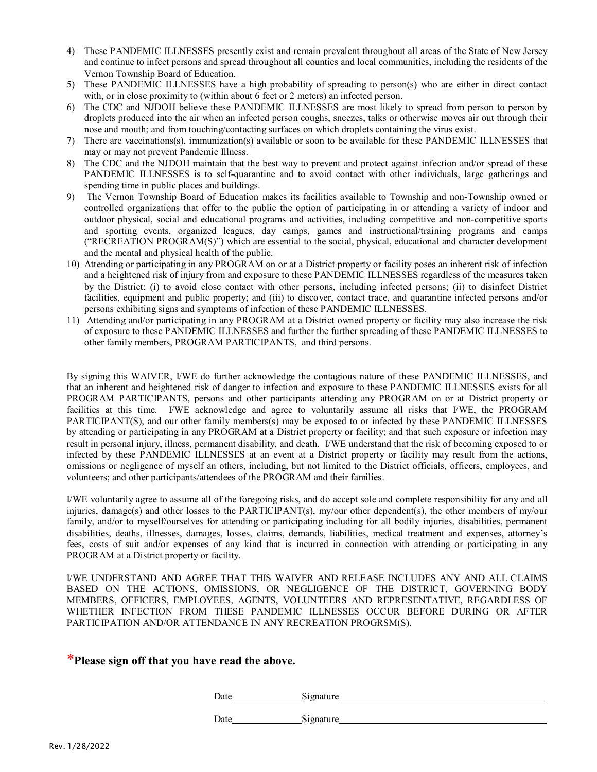- 4) These PANDEMIC ILLNESSES presently exist and remain prevalent throughout all areas of the State of New Jersey and continue to infect persons and spread throughout all counties and local communities, including the residents of the Vernon Township Board of Education.
- 5) These PANDEMIC ILLNESSES have a high probability of spreading to person(s) who are either in direct contact with, or in close proximity to (within about 6 feet or 2 meters) an infected person.
- 6) The CDC and NJDOH believe these PANDEMIC ILLNESSES are most likely to spread from person to person by droplets produced into the air when an infected person coughs, sneezes, talks or otherwise moves air out through their nose and mouth; and from touching/contacting surfaces on which droplets containing the virus exist.
- 7) There are vaccinations(s), immunization(s) available or soon to be available for these PANDEMIC ILLNESSES that may or may not prevent Pandemic Illness.
- 8) The CDC and the NJDOH maintain that the best way to prevent and protect against infection and/or spread of these PANDEMIC ILLNESSES is to self-quarantine and to avoid contact with other individuals, large gatherings and spending time in public places and buildings.
- 9) The Vernon Township Board of Education makes its facilities available to Township and non-Township owned or controlled organizations that offer to the public the option of participating in or attending a variety of indoor and outdoor physical, social and educational programs and activities, including competitive and non-competitive sports and sporting events, organized leagues, day camps, games and instructional/training programs and camps ("RECREATION PROGRAM(S)") which are essential to the social, physical, educational and character development and the mental and physical health of the public.
- 10) Attending or participating in any PROGRAM on or at a District property or facility poses an inherent risk of infection and a heightened risk of injury from and exposure to these PANDEMIC ILLNESSES regardless of the measures taken by the District: (i) to avoid close contact with other persons, including infected persons; (ii) to disinfect District facilities, equipment and public property; and (iii) to discover, contact trace, and quarantine infected persons and/or persons exhibiting signs and symptoms of infection of these PANDEMIC ILLNESSES.
- 11) Attending and/or participating in any PROGRAM at a District owned property or facility may also increase the risk of exposure to these PANDEMIC ILLNESSES and further the further spreading of these PANDEMIC ILLNESSES to other family members, PROGRAM PARTICIPANTS, and third persons.

By signing this WAIVER, I/WE do further acknowledge the contagious nature of these PANDEMIC ILLNESSES, and that an inherent and heightened risk of danger to infection and exposure to these PANDEMIC ILLNESSES exists for all PROGRAM PARTICIPANTS, persons and other participants attending any PROGRAM on or at District property or facilities at this time. I/WE acknowledge and agree to voluntarily assume all risks that I/WE, the PROGRAM PARTICIPANT(S), and our other family members(s) may be exposed to or infected by these PANDEMIC ILLNESSES by attending or participating in any PROGRAM at a District property or facility; and that such exposure or infection may result in personal injury, illness, permanent disability, and death. I/WE understand that the risk of becoming exposed to or infected by these PANDEMIC ILLNESSES at an event at a District property or facility may result from the actions, omissions or negligence of myself an others, including, but not limited to the District officials, officers, employees, and volunteers; and other participants/attendees of the PROGRAM and their families.

I/WE voluntarily agree to assume all of the foregoing risks, and do accept sole and complete responsibility for any and all injuries, damage(s) and other losses to the PARTICIPANT(s), my/our other dependent(s), the other members of my/our family, and/or to myself/ourselves for attending or participating including for all bodily injuries, disabilities, permanent disabilities, deaths, illnesses, damages, losses, claims, demands, liabilities, medical treatment and expenses, attorney's fees, costs of suit and/or expenses of any kind that is incurred in connection with attending or participating in any PROGRAM at a District property or facility.

I/WE UNDERSTAND AND AGREE THAT THIS WAIVER AND RELEASE INCLUDES ANY AND ALL CLAIMS BASED ON THE ACTIONS, OMISSIONS, OR NEGLIGENCE OF THE DISTRICT, GOVERNING BODY MEMBERS, OFFICERS, EMPLOYEES, AGENTS, VOLUNTEERS AND REPRESENTATIVE, REGARDLESS OF WHETHER INFECTION FROM THESE PANDEMIC ILLNESSES OCCUR BEFORE DURING OR AFTER PARTICIPATION AND/OR ATTENDANCE IN ANY RECREATION PROGRSM(S).

### \***Please sign off that you have read the above.**

Date Signature

Date Signature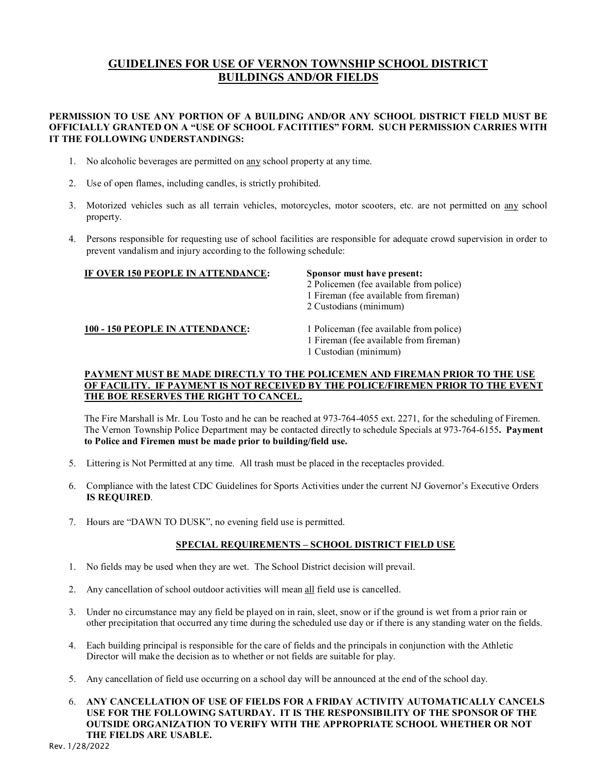## **GUIDELINES FOR USE OF VERNON TOWNSHIP SCHOOL DISTRICT BUILDINGS AND/OR FIELDS**

#### **PERMISSION TO USE ANY PORTION OF A BUILDING AND/OR ANY SCHOOL DISTRICT FIELD MUST BE OFFICIALLY GRANTED ON A "USE OF SCHOOL FACITITIES" FORM. SUCH PERMISSION CARRIES WITH IT THE FOLLOWING UNDERSTANDINGS:**

- 1. No alcoholic beverages are permitted on any school property at any time.
- 2. Use of open flames, including candles, is strictly prohibited.
- 3. Motorized vehicles such as all terrain vehicles, motorcycles, motor scooters, etc. are not permitted on any school property.
- 4. Persons responsible for requesting use of school facilities are responsible for adequate crowd supervision in order to prevent vandalism and injury according to the following schedule:

#### **IF OVER 150 PEOPLE IN ATTENDANCE: Sponsor must have present:**

- 2 Policemen (fee available from police)
- 1 Fireman (fee available from fireman)
- 2 Custodians (minimum)

#### **100 - 150 PEOPLE IN ATTENDANCE:** 1 Policeman (fee available from police)

- 
- 1 Fireman (fee available from fireman)
- 1 Custodian (minimum)

#### **PAYMENT MUST BE MADE DIRECTLY TO THE POLICEMEN AND FIREMAN PRIOR TO THE USE OF FACILITY. IF PAYMENT IS NOT RECEIVED BY THE POLICE/FIREMEN PRIOR TO THE EVENT THE BOE RESERVES THE RIGHT TO CANCEL.**

The Fire Marshall is Mr. Lou Tosto and he can be reached at 973-764-4055 ext. 2271, for the scheduling of Firemen. The Vernon Township Police Department may be contacted directly to schedule Specials at 973-764-6155**. Payment to Police and Firemen must be made prior to building/field use.**

- 5. Littering is Not Permitted at any time. All trash must be placed in the receptacles provided.
- 6. Compliance with the latest CDC Guidelines for Sports Activities under the current NJ Governor's Executive Orders **IS REQUIRED**.
- 7. Hours are "DAWN TO DUSK", no evening field use is permitted.

#### **SPECIAL REQUIREMENTS – SCHOOL DISTRICT FIELD USE**

- 1. No fields may be used when they are wet. The School District decision will prevail.
- 2. Any cancellation of school outdoor activities will mean all field use is cancelled.
- 3. Under no circumstance may any field be played on in rain, sleet, snow or if the ground is wet from a prior rain or other precipitation that occurred any time during the scheduled use day or if there is any standing water on the fields.
- 4. Each building principal is responsible for the care of fields and the principals in conjunction with the Athletic Director will make the decision as to whether or not fields are suitable for play.
- 5. Any cancellation of field use occurring on a school day will be announced at the end of the school day.

6. **ANY CANCELLATION OF USE OF FIELDS FOR A FRIDAY ACTIVITY AUTOMATICALLY CANCELS USE FOR THE FOLLOWING SATURDAY. IT IS THE RESPONSIBILITY OF THE SPONSOR OF THE OUTSIDE ORGANIZATION TO VERIFY WITH THE APPROPRIATE SCHOOL WHETHER OR NOT THE FIELDS ARE USABLE.**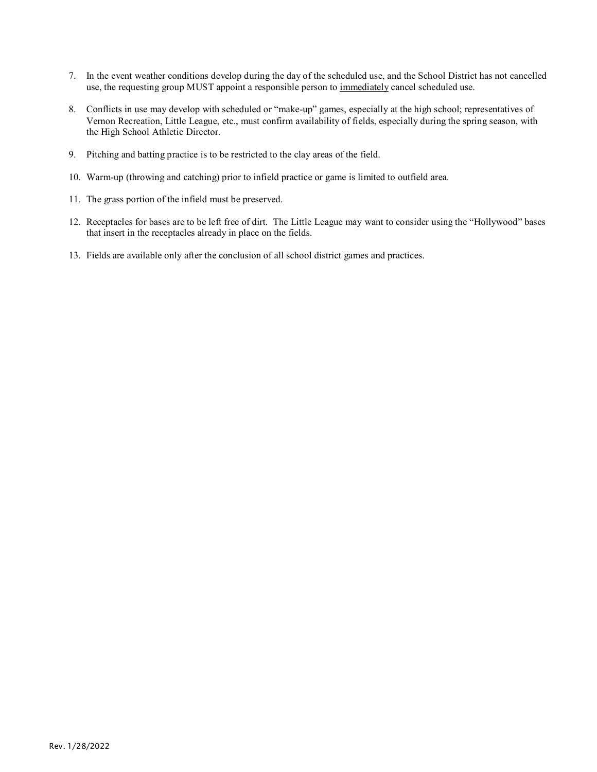- 7. In the event weather conditions develop during the day of the scheduled use, and the School District has not cancelled use, the requesting group MUST appoint a responsible person to immediately cancel scheduled use.
- 8. Conflicts in use may develop with scheduled or "make-up" games, especially at the high school; representatives of Vernon Recreation, Little League, etc., must confirm availability of fields, especially during the spring season, with the High School Athletic Director.
- 9. Pitching and batting practice is to be restricted to the clay areas of the field.
- 10. Warm-up (throwing and catching) prior to infield practice or game is limited to outfield area.
- 11. The grass portion of the infield must be preserved.
- 12. Receptacles for bases are to be left free of dirt. The Little League may want to consider using the "Hollywood" bases that insert in the receptacles already in place on the fields.
- 13. Fields are available only after the conclusion of all school district games and practices.